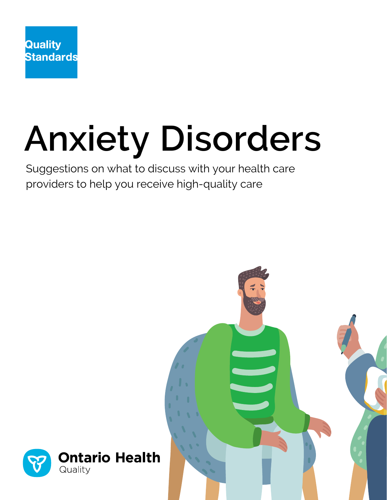

# **Anxiety Disorders**

Suggestions on what to discuss with your health care providers to help you receive high-quality care

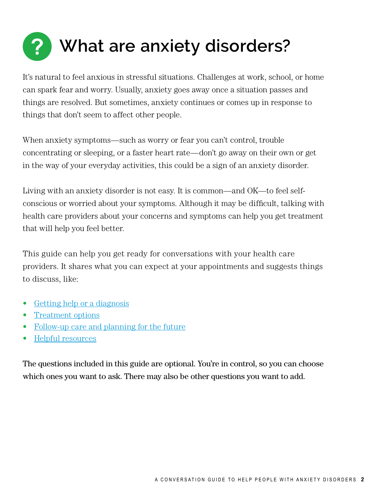

It's natural to feel anxious in stressful situations. Challenges at work, school, or home can spark fear and worry. Usually, anxiety goes away once a situation passes and things are resolved. But sometimes, anxiety continues or comes up in response to things that don't seem to affect other people.

When anxiety symptoms—such as worry or fear you can't control, trouble concentrating or sleeping, or a faster heart rate—don't go away on their own or get in the way of your everyday activities, this could be a sign of an anxiety disorder.

Living with an anxiety disorder is not easy. It is common—and OK—to feel selfconscious or worried about your symptoms. Although it may be difficult, talking with health care providers about your concerns and symptoms can help you get treatment that will help you feel better.

This guide can help you get ready for conversations with your health care providers. It shares what you can expect at your appointments and suggests things to discuss, like:

- [Getting help or a diagnosis](#page-4-0)
- [Treatment options](#page-6-0)
- [Follow-up care and planning for the future](#page-9-0)
- [Helpful resources](#page-10-0)

The questions included in this guide are optional. You're in control, so you can choose which ones you want to ask. There may also be other questions you want to add.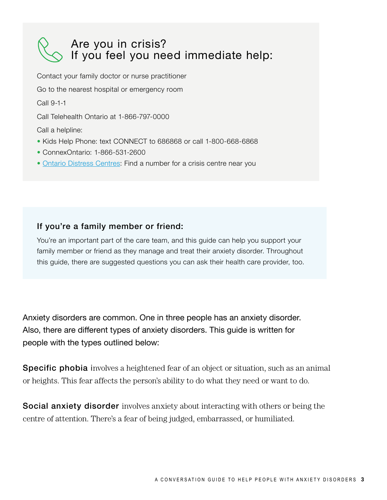### Are you in crisis? If you feel you need immediate help:

Contact your family doctor or nurse practitioner

Go to the nearest hospital or emergency room

Call 9-1-1

Call Telehealth Ontario at 1-866-797-0000

Call a helpline:

- Kids Help Phone: text CONNECT to 686868 or call 1-800-668-6868
- ConnexOntario: 1-866-531-2600
- [Ontario Distress Centres](http://www.dcontario.org/centres.html): Find a number for a crisis centre near you

### If you're a family member or friend:

You're an important part of the care team, and this guide can help you support your family member or friend as they manage and treat their anxiety disorder. Throughout this guide, there are suggested questions you can ask their health care provider, too.

Anxiety disorders are common. One in three people has an anxiety disorder. Also, there are different types of anxiety disorders. This guide is written for people with the types outlined below:

**Specific phobia** involves a heightened fear of an object or situation, such as an animal or heights. This fear affects the person's ability to do what they need or want to do.

Social anxiety disorder involves anxiety about interacting with others or being the centre of attention. There's a fear of being judged, embarrassed, or humiliated.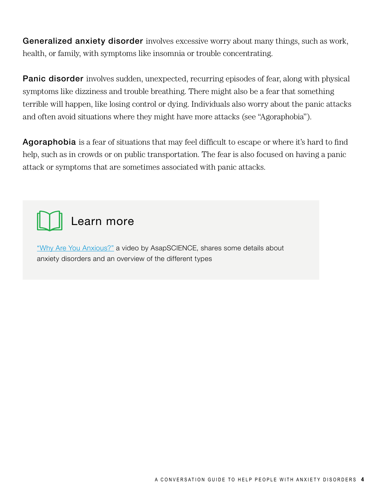Generalized anxiety disorder involves excessive worry about many things, such as work, health, or family, with symptoms like insomnia or trouble concentrating.

**Panic disorder** involves sudden, unexpected, recurring episodes of fear, along with physical symptoms like dizziness and trouble breathing. There might also be a fear that something terrible will happen, like losing control or dying. Individuals also worry about the panic attacks and often avoid situations where they might have more attacks (see "Agoraphobia").

Agoraphobia is a fear of situations that may feel difficult to escape or where it's hard to find help, such as in crowds or on public transportation. The fear is also focused on having a panic attack or symptoms that are sometimes associated with panic attacks.



["Why Are You Anxious?"](https://www.youtube.com/watch?v=iALfvFpcItE&feature=youtu.be) a video by AsapSCIENCE, shares some details about anxiety disorders and an overview of the different types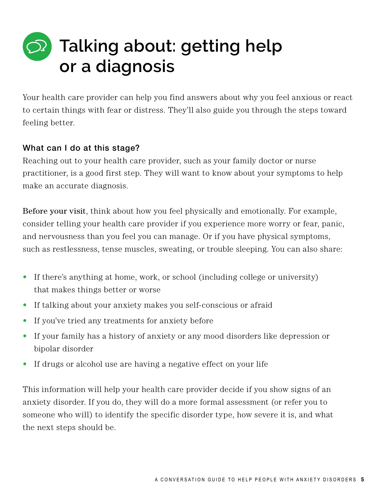# <span id="page-4-0"></span>**Talking about: getting help or a diagnosis**

Your health care provider can help you find answers about why you feel anxious or react to certain things with fear or distress. They'll also guide you through the steps toward feeling better.

### What can I do at this stage?

Reaching out to your health care provider, such as your family doctor or nurse practitioner, is a good first step. They will want to know about your symptoms to help make an accurate diagnosis.

Before your visit, think about how you feel physically and emotionally. For example, consider telling your health care provider if you experience more worry or fear, panic, and nervousness than you feel you can manage. Or if you have physical symptoms, such as restlessness, tense muscles, sweating, or trouble sleeping. You can also share:

- If there's anything at home, work, or school (including college or university) that makes things better or worse
- If talking about your anxiety makes you self-conscious or afraid
- If you've tried any treatments for anxiety before
- If your family has a history of anxiety or any mood disorders like depression or bipolar disorder
- If drugs or alcohol use are having a negative effect on your life

This information will help your health care provider decide if you show signs of an anxiety disorder. If you do, they will do a more formal assessment (or refer you to someone who will) to identify the specific disorder type, how severe it is, and what the next steps should be.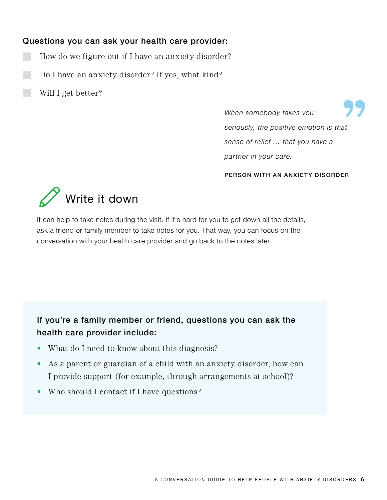### Questions you can ask your health care provider:

- How do we figure out if I have an anxiety disorder?
- Do I have an anxiety disorder? If yes, what kind?
	- Will I get better?

*When somebody takes you seriously, the positive emotion is that sense of relief … that you have a partner in your care.*

### PERSON WITH AN ANXIETY DISORDER



It can help to take notes during the visit. If it's hard for you to get down all the details, ask a friend or family member to take notes for you. That way, you can focus on the conversation with your health care provider and go back to the notes later.

If you're a family member or friend, questions you can ask the health care provider include:

- What do I need to know about this diagnosis?
- As a parent or guardian of a child with an anxiety disorder, how can I provide support (for example, through arrangements at school)?
- Who should I contact if I have questions?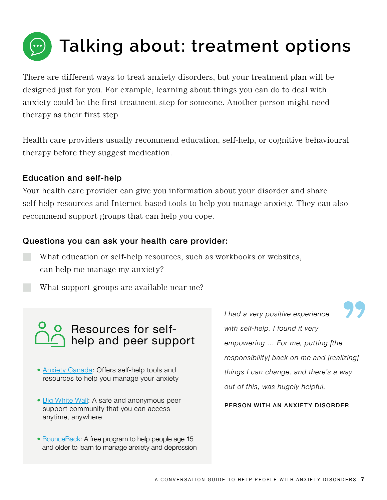<span id="page-6-0"></span>

There are different ways to treat anxiety disorders, but your treatment plan will be designed just for you. For example, learning about things you can do to deal with anxiety could be the first treatment step for someone. Another person might need therapy as their first step.

Health care providers usually recommend education, self-help, or cognitive behavioural therapy before they suggest medication.

### Education and self-help

Your health care provider can give you information about your disorder and share self-help resources and Internet-based tools to help you manage anxiety. They can also recommend support groups that can help you cope.

### Questions you can ask your health care provider:

What education or self-help resources, such as workbooks or websites, can help me manage my anxiety?

What support groups are available near me?

## Resources for selfhelp and peer support

- [Anxiety Canada](https://www.anxietycanada.com): Offers self-help tools and resources to help you manage your anxiety
- [Big White Wall](https://www.bigwhitewall.ca/v2/Home.aspx?ReturnUrl=%2f): A safe and anonymous peer support community that you can access anytime, anywhere
- [BounceBack:](https://bouncebackontario.ca) A free program to help people age 15 and older to learn to manage anxiety and depression

*I had a very positive experience with self-help. I found it very empowering … For me, putting [the responsibility] back on me and [realizing] things I can change, and there's a way out of this, was hugely helpful.*

PERSON WITH AN ANXIETY DISORDER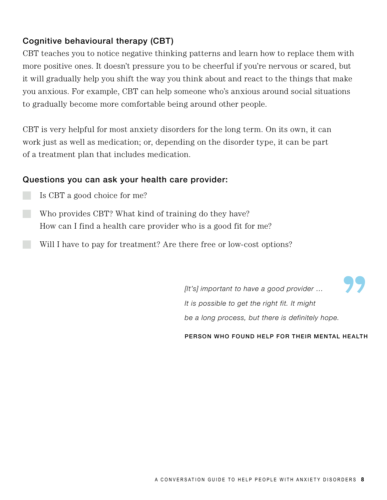### Cognitive behavioural therapy (CBT)

CBT teaches you to notice negative thinking patterns and learn how to replace them with more positive ones. It doesn't pressure you to be cheerful if you're nervous or scared, but it will gradually help you shift the way you think about and react to the things that make you anxious. For example, CBT can help someone who's anxious around social situations to gradually become more comfortable being around other people.

CBT is very helpful for most anxiety disorders for the long term. On its own, it can work just as well as medication; or, depending on the disorder type, it can be part of a treatment plan that includes medication.

### Questions you can ask your health care provider:

- Is CBT a good choice for me?
- Who provides CBT? What kind of training do they have? How can I find a health care provider who is a good fit for me?
- Will I have to pay for treatment? Are there free or low-cost options?

*[It's] important to have a good provider … It is possible to get the right fit. It might be a long process, but there is definitely hope.*

PERSON WHO FOUND HELP FOR THEIR MENTAL HEALTH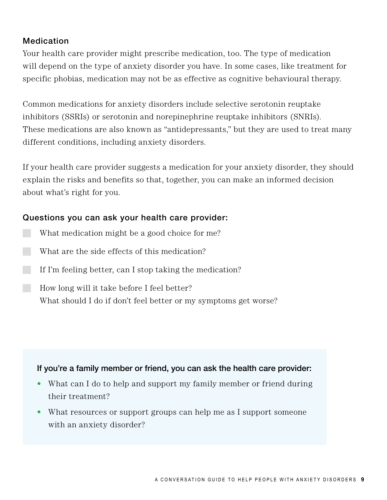### **Medication**

Your health care provider might prescribe medication, too. The type of medication will depend on the type of anxiety disorder you have. In some cases, like treatment for specific phobias, medication may not be as effective as cognitive behavioural therapy.

Common medications for anxiety disorders include selective serotonin reuptake inhibitors (SSRIs) or serotonin and norepinephrine reuptake inhibitors (SNRIs). These medications are also known as "antidepressants," but they are used to treat many different conditions, including anxiety disorders.

If your health care provider suggests a medication for your anxiety disorder, they should explain the risks and benefits so that, together, you can make an informed decision about what's right for you.

### Questions you can ask your health care provider:

- What medication might be a good choice for me?
- $\Box$  What are the side effects of this medication?
- If I'm feeling better, can I stop taking the medication?
- How long will it take before I feel better? What should I do if don't feel better or my symptoms get worse?

### If you're a family member or friend, you can ask the health care provider:

- What can I do to help and support my family member or friend during their treatment?
- What resources or support groups can help me as I support someone with an anxiety disorder?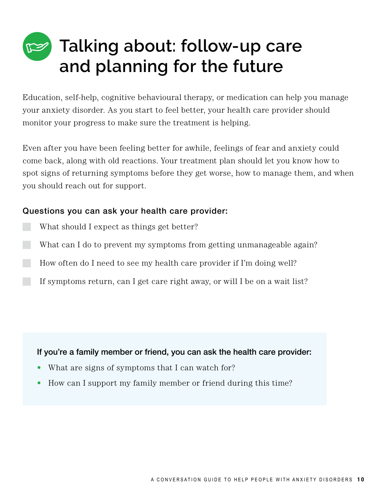# <span id="page-9-0"></span>**Talking about: follow-up care and planning for the future**

Education, self-help, cognitive behavioural therapy, or medication can help you manage your anxiety disorder. As you start to feel better, your health care provider should monitor your progress to make sure the treatment is helping.

Even after you have been feeling better for awhile, feelings of fear and anxiety could come back, along with old reactions. Your treatment plan should let you know how to spot signs of returning symptoms before they get worse, how to manage them, and when you should reach out for support.

### Questions you can ask your health care provider:

- What should I expect as things get better?
- What can I do to prevent my symptoms from getting unmanageable again?
- How often do I need to see my health care provider if I'm doing well?
	- If symptoms return, can I get care right away, or will I be on a wait list?

If you're a family member or friend, you can ask the health care provider:

- What are signs of symptoms that I can watch for?
- How can I support my family member or friend during this time?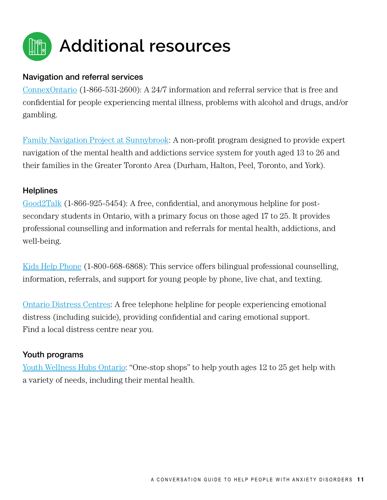<span id="page-10-0"></span>

### Navigation and referral services

[ConnexOntario](https://www.connexontario.ca) (1-866-531-2600): A 24/7 information and referral service that is free and confidential for people experiencing mental illness, problems with alcohol and drugs, and/or gambling.

[Family Navigation Project at Sunnybrook:](https://sunnybrook.ca/content/?page=family-navigation-project) A non-profit program designed to provide expert navigation of the mental health and addictions service system for youth aged 13 to 26 and their families in the Greater Toronto Area (Durham, Halton, Peel, Toronto, and York).

### **Helplines**

[Good2Talk](https://good2talk.ca) (1-866-925-5454): A free, confidential, and anonymous helpline for postsecondary students in Ontario, with a primary focus on those aged 17 to 25. It provides professional counselling and information and referrals for mental health, addictions, and well-being.

[Kids Help Phone](https://kidshelpphone.ca) (1-800-668-6868): This service offers bilingual professional counselling, information, referrals, and support for young people by phone, live chat, and texting.

[Ontario Distress Centres:](http://www.dcontario.org/centres.html) A free telephone helpline for people experiencing emotional distress (including suicide), providing confidential and caring emotional support. Find a local distress centre near you.

### Youth programs

[Youth Wellness Hubs Ontario](https://youthhubs.ca/en/): "One-stop shops" to help youth ages 12 to 25 get help with a variety of needs, including their mental health.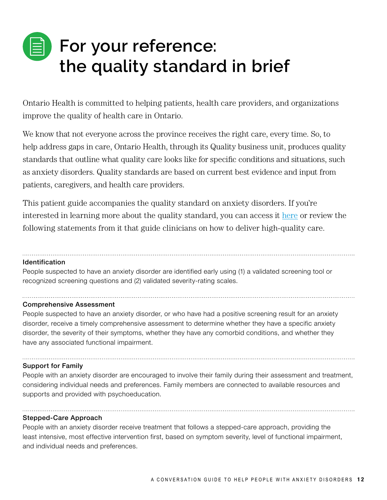# **For your reference: the quality standard in brief**

Ontario Health is committed to helping patients, health care providers, and organizations improve the quality of health care in Ontario.

We know that not everyone across the province receives the right care, every time. So, to help address gaps in care, Ontario Health, through its Quality business unit, produces quality standards that outline what quality care looks like for specific conditions and situations, such as anxiety disorders. Quality standards are based on current best evidence and input from patients, caregivers, and health care providers.

This patient guide accompanies the quality standard on anxiety disorders. If you're interested in learning more about the quality standard, you can access it [here](https://www.hqontario.ca/evidence-to-improve-care/quality-standards/view-all-quality-standards/anxiety-disorders) or review the following statements from it that guide clinicians on how to deliver high-quality care.

### Identification

People suspected to have an anxiety disorder are identified early using (1) a validated screening tool or recognized screening questions and (2) validated severity-rating scales.

### Comprehensive Assessment

People suspected to have an anxiety disorder, or who have had a positive screening result for an anxiety disorder, receive a timely comprehensive assessment to determine whether they have a specific anxiety disorder, the severity of their symptoms, whether they have any comorbid conditions, and whether they have any associated functional impairment.

### Support for Family

People with an anxiety disorder are encouraged to involve their family during their assessment and treatment, considering individual needs and preferences. Family members are connected to available resources and supports and provided with psychoeducation.

### Stepped-Care Approach

People with an anxiety disorder receive treatment that follows a stepped-care approach, providing the least intensive, most effective intervention first, based on symptom severity, level of functional impairment, and individual needs and preferences.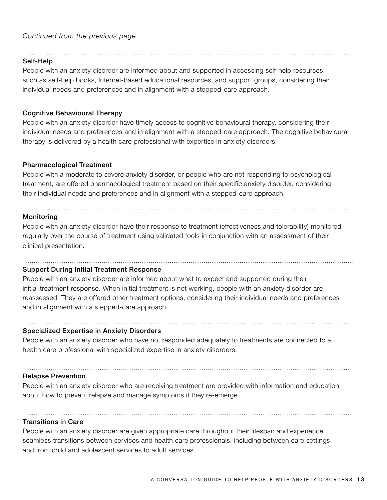#### Self-Help

People with an anxiety disorder are informed about and supported in accessing self-help resources, such as self-help books, Internet-based educational resources, and support groups, considering their individual needs and preferences and in alignment with a stepped-care approach.

### Cognitive Behavioural Therapy

People with an anxiety disorder have timely access to cognitive behavioural therapy, considering their individual needs and preferences and in alignment with a stepped-care approach. The cognitive behavioural therapy is delivered by a health care professional with expertise in anxiety disorders.

### Pharmacological Treatment

People with a moderate to severe anxiety disorder, or people who are not responding to psychological treatment, are offered pharmacological treatment based on their specific anxiety disorder, considering their individual needs and preferences and in alignment with a stepped-care approach.

#### **Monitoring**

People with an anxiety disorder have their response to treatment (effectiveness and tolerability) monitored regularly over the course of treatment using validated tools in conjunction with an assessment of their clinical presentation.

### Support During Initial Treatment Response

People with an anxiety disorder are informed about what to expect and supported during their initial treatment response. When initial treatment is not working, people with an anxiety disorder are reassessed. They are offered other treatment options, considering their individual needs and preferences and in alignment with a stepped-care approach.

### Specialized Expertise in Anxiety Disorders

People with an anxiety disorder who have not responded adequately to treatments are connected to a health care professional with specialized expertise in anxiety disorders.

### Relapse Prevention

People with an anxiety disorder who are receiving treatment are provided with information and education about how to prevent relapse and manage symptoms if they re-emerge.

### Transitions in Care

People with an anxiety disorder are given appropriate care throughout their lifespan and experience seamless transitions between services and health care professionals, including between care settings and from child and adolescent services to adult services.